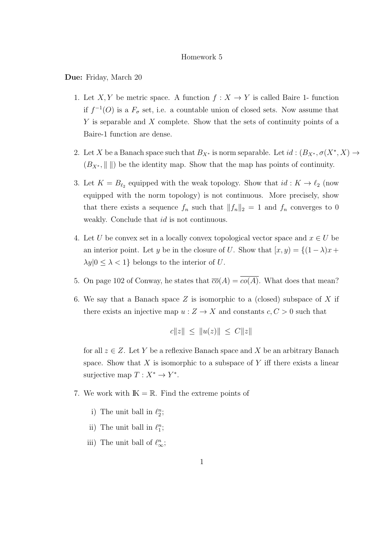## Homework 5

Due: Friday, March 20

- 1. Let X, Y be metric space. A function  $f: X \to Y$  is called Baire 1- function if  $f^{-1}(O)$  is a  $F_{\sigma}$  set, i.e. a countable union of closed sets. Now assume that  $Y$  is separable and  $X$  complete. Show that the sets of continuity points of a Baire-1 function are dense.
- 2. Let X be a Banach space such that  $B_{X^*}$  is norm separable. Let  $id : (B_{X^*}, \sigma(X^*, X) \to$  $(B_{X^*}, \| \|)$  be the identity map. Show that the map has points of continuity.
- 3. Let  $K = B_{\ell_2}$  equipped with the weak topology. Show that  $id : K \to \ell_2$  (now equipped with the norm topology) is not continuous. More precisely, show that there exists a sequence  $f_n$  such that  $||f_n||_2 = 1$  and  $f_n$  converges to 0 weakly. Conclude that *id* is not continuous.
- 4. Let U be convex set in a locally convex topological vector space and  $x \in U$  be an interior point. Let y be in the closure of U. Show that  $[x, y) = \{(1 - \lambda)x +$  $\lambda y |0 \leq \lambda < 1$  belongs to the interior of U.
- 5. On page 102 of Conway, he states that  $\overline{co}(A) = \overline{co(A)}$ . What does that mean?
- 6. We say that a Banach space  $Z$  is isomorphic to a (closed) subspace of  $X$  if there exists an injective map  $u: Z \to X$  and constants  $c, C > 0$  such that

$$
c||z|| \le ||u(z)|| \le C||z||
$$

for all  $z \in Z$ . Let Y be a reflexive Banach space and X be an arbitrary Banach space. Show that  $X$  is isomorphic to a subspace of  $Y$  iff there exists a linear surjective map  $T: X^* \to Y^*$ .

- 7. We work with  $\mathbb{K} = \mathbb{R}$ . Find the extreme points of
	- i) The unit ball in  $\ell_2^n$ ;
	- ii) The unit ball in  $\ell_1^n$ ;
	- iii) The unit ball of  $\ell_{\infty}^n$ ;